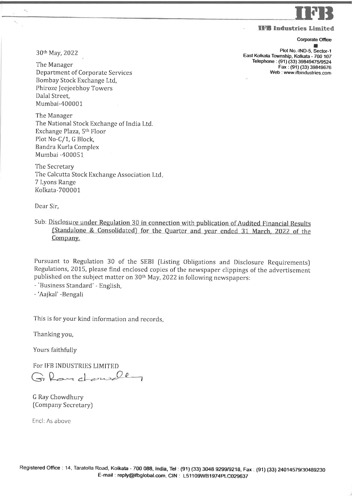

Illll Industries Limited

## **Corporate Office**

الله<br>Plot No.-IND-5, Sector-1 East Kolkata Township, Kolkata - 700 107 Telephone: (91) (33) 39849475/9524 Fax : (91) (33) 39849626 Web : www-ifbindustries.com

30th May, 2022

×,

The Manager Department of Corporate Services Bombay Stock Exchange Ltd, Phiroze Jeejeebhoy Towers Dalal Street, Mumbai-400001

1'he Manager The National Stock Exchange of India Ltd. Exchange Plaza, 5th Floor Plot No-C/1, G Block, Bandra Kurla Complex Mumbai -400051

The Secretary The Calcutta Stock Exchange Association Ltd. 7 Lyons Range Kolkata-700001

Dear Sir,

Sub: Disclosure under Regulation 30 in connection with publication of Audited Financial Results<br>(Standalone & Consolidated) for the Quarter and year ended 31 March, 2022 of the Company.

Pursuant to Regulation 30 of the SEBI (Listing Obligations and Disclosure Requirements) Regulations, 2015, please find enclosed copies of the newspaper clippings of the advertisement published on the subject matter on 30<sup>th</sup> May, 2022 in following newspapers:

- 'Business Standard' - English,

- 'Aajkal' -Bengali

This is for your kind information and records

1'hanking you,

Yours faithfully

For IFB INDUSTRIES LIMITED Glardonsde

G Ray Chowdhury [Company Secretary)

Encl: As above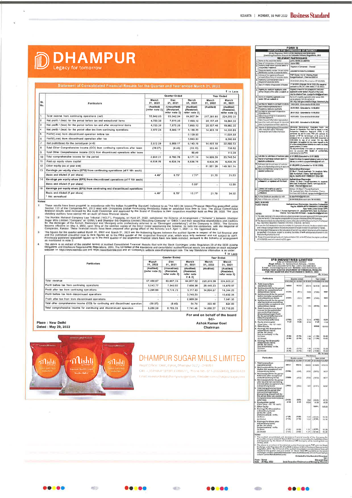## **DDHAMPUR**

## Statement of Consolidated Financial Results for the Quarter and Year ended March 31, 2022

 $\frac{1}{2}$ 

| SI.<br>No.     | Particulars.                                                                    | Quarter Ended                                    |                                                               |                                                              | <b>Year Ended</b>             |                                                               |
|----------------|---------------------------------------------------------------------------------|--------------------------------------------------|---------------------------------------------------------------|--------------------------------------------------------------|-------------------------------|---------------------------------------------------------------|
|                |                                                                                 | March<br>31, 2022<br>(Audited)<br>{refer note 2} | Dec<br>31, 2021<br>(Unaudited)<br>{Restated,<br>refor note 2) | March<br>31.2021<br>(Audited)<br>(Restated,<br>refer note 21 | March<br>31.2022<br>(Audited) | March<br>31, 2021<br>(Audited)<br>{Resisted,<br>refer note 2) |
|                |                                                                                 |                                                  |                                                               |                                                              |                               |                                                               |
| $\overline{2}$ | Net profit / (loss) for the period before tax and exceptional items             | 4.720 39                                         | 7.875.26                                                      | 7.693.12                                                     | 20.157 46                     | 19,862 32                                                     |
| 3              | Net profit / (loss) for the period before lax and after exceptional items       | 4.720.30                                         | 7.675.26                                                      | 7.693.12                                                     | 20.157.46                     | 19,862 32                                                     |
| 4              | Net profit / (loss) for the period after tax from continuing operations         | 2.972.28                                         | 5.809.17                                                      | 5.160.25                                                     | 14.403.10                     | 14,335 65                                                     |
| 5              | Profit/(Loss) from discontinued operation before lax                            |                                                  |                                                               | 5 159 50                                                     |                               | 11,651.88                                                     |
| $\alpha$       | Profil/(Loss) from discontinued operation after tax                             |                                                  |                                                               | 3,983.53                                                     |                               | 8.560.88                                                      |
|                | Nut profit/doss) for the periodlynar (4+6)                                      | 2,972 28                                         | 5,809.17                                                      | 8,143.78                                                     | 14.403 10                     | 22,896 53                                                     |
| $\mathbf{a}$   | Total Other Comprehensive Income (OCI) from confinuing operations after laxes   | (39.07)                                          | (9, 40)                                                       | (3313)                                                       | 203 40                        | 73682                                                         |
| 9              | Total Other Comprehensive Income (OCI) from discontinued operations after laxes |                                                  |                                                               | 60.49                                                        |                               | 113 39                                                        |
| 10             | Total comprehensive income for the period                                       | 2.933 21                                         | 5,799.76                                                      | 9.171.14                                                     | 14,606.50                     | 23,746.54                                                     |
| 11             | Paid-up equity share capital                                                    | 6,638.76                                         | 6.63876                                                       | 6,638.76                                                     | 6.638.76                      | 6.638.76                                                      |
| 12             | Other equity (as at year end)                                                   |                                                  |                                                               |                                                              | 81.661 30                     | 149.361.74                                                    |
| 13             | Earnings per equity share (EPS) from continuing operations (of ₹ 10/- each)     |                                                  |                                                               |                                                              |                               |                                                               |
|                | Basic and diluted (? par share)                                                 | $4.48*$                                          | <b>B</b> 75*                                                  | $7.77*$                                                      | 21 70                         | 21 63                                                         |
| 14             | Earnings per equity share (EPS) from discontinued operations (of ₹ 10/- each)   |                                                  |                                                               |                                                              |                               |                                                               |
|                | Basic and diluted (? per share)                                                 |                                                  | $\pi$                                                         | 6 00*                                                        |                               | 12 89                                                         |
| 15             | Earnings per equity share (EPS) from continuing and discontinued operations     |                                                  |                                                               |                                                              |                               |                                                               |
|                | Basic and diluted (? par share)<br>hasllering total *                           | $4.48^*$                                         | 8.75*                                                         | $13.77*$                                                     | 2170                          | 34 52                                                         |

**Notes** 

ä

e:<br>
These results have been prepared in accordance with the Indian Accounting Standard (referred to as "Ind AS").34 interim. Financial Reporting prescribed unider<br>
Section 133 of the Companies Act, 2013 read with Companies ٠, ä

|                                                                                  | ₹ Jn Lac                                        |                                                              |                                                                      |                                |                                                               |  |
|----------------------------------------------------------------------------------|-------------------------------------------------|--------------------------------------------------------------|----------------------------------------------------------------------|--------------------------------|---------------------------------------------------------------|--|
|                                                                                  | <b>Quarter Ended</b>                            |                                                              |                                                                      | Year Ended                     |                                                               |  |
| <b>Particulars</b>                                                               | March<br>31.2022<br>(Audited)<br>(refer note 2) | Dec<br>31.2021<br>(Unaudited)<br>{Restated,<br>refer note 2) | March<br>31. 2021<br>(Audited)<br>(Restated,<br>rofer note<br>2 & 3} | March<br>31, 2022<br>(Audited) | March<br>31, 2021<br>(Audited)<br>(Restated,<br>rafer note 2} |  |
|                                                                                  |                                                 |                                                              |                                                                      |                                |                                                               |  |
| Total revenue                                                                    | 57,466.67                                       | 63.057.33                                                    | 64.907.52                                                            | 220 870 59                     | 224.503.31                                                    |  |
| Profit before lax from continuing operations                                     | 5.043.77                                        | 7,840.82                                                     | 7.650.30                                                             | 20.449.23                      | 19.870.87                                                     |  |
| Profil after tax from continuing operations                                      | 3.295.68                                        | 577473                                                       | 5,117.43                                                             | 14.694.87                      | 14,344.20                                                     |  |
| Profil before tax from discontinued operations                                   | 1.                                              | ×.                                                           | 3.745.25                                                             |                                | 10.632.35                                                     |  |
| Profit after tax from from discontinued operations                               | ÷                                               | ×.                                                           | 2,569.28                                                             |                                | 7,541 35                                                      |  |
| Total other comprehensive income (OCI) for conitnuing and discontinued operation | (39.07)                                         | (9.40)                                                       | 54.75                                                                | 203 40                         | 824 50                                                        |  |
| Total comprehensive income for conitnuing and discontinued operation             | 3.256.59                                        | 5,765.33                                                     | 7.741.46                                                             | 14.898.27                      | 22.710.05                                                     |  |

**Place : New Delhi** Dated : May 29, 2022

į,



## DHAMPUR SUGAR MILLS LIMITED

For and on behalf of the board  $Sd$ 

Ashok Kumar Goel

Chairman

Regis Office : Distt. Bijrior. Dhampur (U.P.) - 246761 CIN 115249UP1033PLC000611 Phone No. 01130659400 30659433 Email: investor:lesk@dhampursugar.com. Website: www.dhampursug

|        |                                                                                                                      | <b>FORM G</b><br><b>INVITATION FOR EXPRESSION OF INTEREST</b>                                                                                                                                                                                                                                                                                                                                                                                                                                                                                                                                                                                                        |  |  |  |  |
|--------|----------------------------------------------------------------------------------------------------------------------|----------------------------------------------------------------------------------------------------------------------------------------------------------------------------------------------------------------------------------------------------------------------------------------------------------------------------------------------------------------------------------------------------------------------------------------------------------------------------------------------------------------------------------------------------------------------------------------------------------------------------------------------------------------------|--|--|--|--|
|        |                                                                                                                      | r Regulation 36A (1) of the insolvency and Banaruptcy                                                                                                                                                                                                                                                                                                                                                                                                                                                                                                                                                                                                                |  |  |  |  |
|        |                                                                                                                      | Disabiency Resulution Process for Corporate Personal Republicions, 2018                                                                                                                                                                                                                                                                                                                                                                                                                                                                                                                                                                                              |  |  |  |  |
|        |                                                                                                                      | <b>RELEVANT PARTICULARS</b>                                                                                                                                                                                                                                                                                                                                                                                                                                                                                                                                                                                                                                          |  |  |  |  |
| ٩<br>ž | Nome M the corporate dealer<br>Date of incorporation of corporate debtor                                             | <b>APPLI HOTELS LIMITED</b>                                                                                                                                                                                                                                                                                                                                                                                                                                                                                                                                                                                                                                          |  |  |  |  |
| x      | Auditory wine which corporate online is                                                                              | 06:04.1983                                                                                                                                                                                                                                                                                                                                                                                                                                                                                                                                                                                                                                                           |  |  |  |  |
|        | incorporated / registered                                                                                            | Register of Companies - Cheanal                                                                                                                                                                                                                                                                                                                                                                                                                                                                                                                                                                                                                                      |  |  |  |  |
|        | Carporate Kientilis mumber: Almost Kabilita<br>Markhussen number of corporate detter                                 | IJ92490TN1BB3PLC009942                                                                                                                                                                                                                                                                                                                                                                                                                                                                                                                                                                                                                                               |  |  |  |  |
| x      | Address of the registered office and<br>principal difficient any light corporate decision                            | PGP House, No of Starting Road<br>Nungambakkam. Chennai 500034                                                                                                                                                                                                                                                                                                                                                                                                                                                                                                                                                                                                       |  |  |  |  |
|        | Inschering Commercement Date in<br>Resident of Corporate Setting                                                     | 05:05:2320 (Order Received on 07:65:2520)                                                                                                                                                                                                                                                                                                                                                                                                                                                                                                                                                                                                                            |  |  |  |  |
| ,      | Date of invitation of expression of interest                                                                         | 17.08 2020 (Original) 26 04 2022 (Re-sauance<br>pursuant to NCLAT order dated 17 02 2022).                                                                                                                                                                                                                                                                                                                                                                                                                                                                                                                                                                           |  |  |  |  |
|        | Elighèty for reselution applicants under<br>sectors 25(2)(h) of the code is available at                             | Exploity of instance the prospective resortation<br>spolicants under section 25(2)(h) of the Code<br>may be obtained from roupport of shuftgamall.com                                                                                                                                                                                                                                                                                                                                                                                                                                                                                                                |  |  |  |  |
|        | If I harms of ineignment aggregate under<br>tection 29A arc evaluable at                                             | Norms of merginishy applicable order associated.<br>can be sittemed from the website of                                                                                                                                                                                                                                                                                                                                                                                                                                                                                                                                                                              |  |  |  |  |
|        | If Last data for recept of expression of interest                                                                    | IN NULTIN government actual transversion<br>15 08 3322 - Extended to 09 06 3522                                                                                                                                                                                                                                                                                                                                                                                                                                                                                                                                                                                      |  |  |  |  |
|        | 11 Date or ease or provisional list of                                                                               | 25.05 2022 - Extended to 16 06.2022                                                                                                                                                                                                                                                                                                                                                                                                                                                                                                                                                                                                                                  |  |  |  |  |
| ıš     | Prosentense meth kón ápplitaris<br>List data for automassis of disposition<br>ti jirovislonal ku                     | 28.05 2022 - Extended to 19 05 2022                                                                                                                                                                                                                                                                                                                                                                                                                                                                                                                                                                                                                                  |  |  |  |  |
| ۲z.    | Date of more of final hat of processive                                                                              | 06.05.2022 - Extended to 23.06.2022                                                                                                                                                                                                                                                                                                                                                                                                                                                                                                                                                                                                                                  |  |  |  |  |
| Ħ      | relativities eugeniente<br>Date of more of schematics management.<br>peak this math and request for respective.      | 30 05 2022 - Extended to 21.06.2022                                                                                                                                                                                                                                                                                                                                                                                                                                                                                                                                                                                                                                  |  |  |  |  |
|        | plane to prespective rest/Loon sportcards                                                                            |                                                                                                                                                                                                                                                                                                                                                                                                                                                                                                                                                                                                                                                                      |  |  |  |  |
| 'n     | Manner of absolving impassifice resolution<br>par, existution meth, retamator.<br>numerable and further information. | information Memorandum, Evaluation Matrix and<br>Request for Resolution Plan shall be insued to every<br>Prospective Resolution Applicant (PRA) in the<br>aroveronal kal and its every PRA who contents the<br>deceion of RP for non-inclusion of fis name in the<br>revisional list on or before 28.05.2022 (Extended in<br>19.06.2022) by way of an e-mail For any offer<br>Information, the applican/(s) may make requests to the<br>69 at the correspondence address or e-mail id as stated<br>isserol setating 21 below<br>The documentalother information be manitoned apple<br>shall be imposed after receipt of confidentially<br>indertaking Stark Ing PRAy |  |  |  |  |
|        | page nooutceen to nozelimitize yof resolution plans                                                                  | 01 07:3022 (Extended to 21 07 2022)                                                                                                                                                                                                                                                                                                                                                                                                                                                                                                                                                                                                                                  |  |  |  |  |
|        | 11 Manner of submitting resolution plans to<br>resolution professional                                               | Soaled Envelope by space/registered post or by have<br>fairery or a-mail in mappunatele@genall com                                                                                                                                                                                                                                                                                                                                                                                                                                                                                                                                                                   |  |  |  |  |
|        | 15 Eubrated tate for substance of mash time                                                                          | 01.08.2022 (Extended to 12 08 2022)                                                                                                                                                                                                                                                                                                                                                                                                                                                                                                                                                                                                                                  |  |  |  |  |
|        | stan to the Adjudicating Authority for approve<br>19 I fishe and reputation funder of the                            |                                                                                                                                                                                                                                                                                                                                                                                                                                                                                                                                                                                                                                                                      |  |  |  |  |
|        | Islakten professorei                                                                                                 | Radius/ohner Drammeraun<br>03, Block 1, Triumph Apartments 114, Jawahariai Nehru<br>Satai Anumbakkam, Cheenai, Tamil Nadu-600106<br>Reg No. ISBN1PA-001/1P-P00506/2017-2018/10909                                                                                                                                                                                                                                                                                                                                                                                                                                                                                    |  |  |  |  |
|        | 20. Name Abbress and a met of the resolution<br>professional as registared with the Board                            | Radhaintshnas Dhannarajan<br>Address - DJ, Block 1. Thumph Apatements 114. Aexabarbal<br>Hehru Saial, Ananbakkam, Cherma Tamil Nadu-800108<br>Email - charma67 @gmail.com                                                                                                                                                                                                                                                                                                                                                                                                                                                                                            |  |  |  |  |
|        | 11. A Schenz and email in be used for<br>ilizmspandence with the resolution<br><b>B</b> Difference in                | Astron-DS Bock 1, Thungh Avenuety<br>114, Janshami Wahiu Salai, Arumbalikani, Chemia,<br>fand field 600136 Email - to specificials@gmail.com                                                                                                                                                                                                                                                                                                                                                                                                                                                                                                                         |  |  |  |  |
|        | II. Further Details are available at as with                                                                         | ro.spp.maleleft@gmall.com                                                                                                                                                                                                                                                                                                                                                                                                                                                                                                                                                                                                                                            |  |  |  |  |
|        | D. Data of Publication of Form G.                                                                                    | 26:04:3022 (Extended date 30:05:3032)                                                                                                                                                                                                                                                                                                                                                                                                                                                                                                                                                                                                                                |  |  |  |  |
|        | DATE: JO 05.7022                                                                                                     | w                                                                                                                                                                                                                                                                                                                                                                                                                                                                                                                                                                                                                                                                    |  |  |  |  |
|        | PLACE: Chennal                                                                                                       | Radhakrishnan Dharmarajan, Rasoletton Professional<br>Rea No. ISBUPA-001/IP-P00503/2017-2018/10909<br>Appu Holets Limited (Under CIRP)<br>D3 Block 1. Triumph Aparements 114 Jawahartal Nehru Salal Anumbaldiam,                                                                                                                                                                                                                                                                                                                                                                                                                                                     |  |  |  |  |
|        | NOTES:                                                                                                               | Chennai, Tamil Nadu 600108 Email - rpusppuhatala@greatLoom<br>5. The date investment in the above infinition a Algorithment was received and contact CoRP to one partial<br>photoship high and the same at a similar and animal the distribution of the distribution of                                                                                                                                                                                                                                                                                                                                                                                              |  |  |  |  |

i danen ditu fup<br>Watay, USA ang **Formt Paule** Cultura<br>Milita of Such 6 Stupocanya .<br>Antonio Accidentari (OL 31 Pe RP) brium fra segna p.c.ut c

| EXTRACTS OF AUDITED STATEMENT OF FINANCIAL RESULTS<br>FOR THE QUARTER AND YEAR ENDED 31 MARCH, 2022                                                                                                                                                                                                                                                                                                                                                                                                 |                         |                                                                                 |                    |                            | <b>Rs. In Lace</b>     |
|-----------------------------------------------------------------------------------------------------------------------------------------------------------------------------------------------------------------------------------------------------------------------------------------------------------------------------------------------------------------------------------------------------------------------------------------------------------------------------------------------------|-------------------------|---------------------------------------------------------------------------------|--------------------|----------------------------|------------------------|
| Particulars                                                                                                                                                                                                                                                                                                                                                                                                                                                                                         |                         | Quarter anded                                                                   | Carsakdated        |                            | fúar ended             |
|                                                                                                                                                                                                                                                                                                                                                                                                                                                                                                     |                         | 34 83 2922 11 12 2021 11:03 2021 11:03 2022 11:03 212                           |                    |                            |                        |
| Total income from<br>eperations (riet)<br>2. Net (New) profit for the portod                                                                                                                                                                                                                                                                                                                                                                                                                        | 90044                   | 95312                                                                           | <b>MSSAAT</b>      | Serena                     | Jet/Job                |
| estreenthrary hams)<br>ı<br>Net the sylvisht for the period<br>bofery tax (after ascaptional                                                                                                                                                                                                                                                                                                                                                                                                        | 163441                  | (531)                                                                           | 2008.              | (1001)                     | 9891                   |
| and extraordinary items)<br>Net (lona)/profit for the partod<br>after tax and east-controlling<br>interest fatter exceptional and<br>edmostrinary (lens)                                                                                                                                                                                                                                                                                                                                            | (4344)                  | <b>ISS11</b>                                                                    | 2995               | (7306)                     | 9691                   |
| Total Comprehensive (Inst)<br>Income for the period show<br>man exception interest<br>Comprehensive products<br>Total Comprehensive (Institute)<br>Other Comprehensives (Institute)<br>Other Comprehensives                                                                                                                                                                                                                                                                                         | (2820)                  | (321)                                                                           | 722                | (4816)                     | 6411                   |
| incomations) (when teal)<br><b>Kipsby share unpitel</b><br>Fane Volum -- No. 104 each)                                                                                                                                                                                                                                                                                                                                                                                                              | (2350)<br>4128          | (423)<br>4128                                                                   | tota<br>4128       | (4762)<br>4128             | 6354<br>47.24          |
| Other Equity<br>r.<br>8. Exmings Per Skansbefore<br>oothaardhuury itamu)<br>tot Ha. 181- eachd<br>not excellents in the<br>A3 Blassey<br>du Diluted<br>Earnings Par Share Lefter                                                                                                                                                                                                                                                                                                                    | (0.99)<br>(6.99)        | (079)<br>(0.79)                                                                 | 1.00<br>1.93       | 60598<br>11 891<br>[11.69] | 65480<br>1582<br>15.82 |
| estraardbiary Hame)<br>(of Pts. 10)- each)<br>instantialised - In Its.<br>lat Road:<br>(810) 144                                                                                                                                                                                                                                                                                                                                                                                                    | (6.99)<br><b>UR 991</b> | (0.29)<br>10.766                                                                | <b>x 60</b>        | (11.06)                    | $T\lambda$ 52<br>15.82 |
|                                                                                                                                                                                                                                                                                                                                                                                                                                                                                                     |                         |                                                                                 | 1.907              | (11.89)                    | <b>Re. In Loce</b>     |
|                                                                                                                                                                                                                                                                                                                                                                                                                                                                                                     |                         |                                                                                 | <b>Blandalace</b>  |                            |                        |
| Particulars                                                                                                                                                                                                                                                                                                                                                                                                                                                                                         |                         | <b>Quicks and all</b><br>11 NT 2022 31 12:3021 11 11:3021 11:03 2022 31:03:2021 |                    | <b>Year anded</b>          |                        |
| ŧ<br><b>Tutat Income from</b><br>eperations (net)<br>Not (lass) jarofit for the mation                                                                                                                                                                                                                                                                                                                                                                                                              | 88431                   | 932 Fil                                                                         | 80424              | 333001 273133              |                        |
| Ilvefore tax, pecuptional and<br>estrationary items)<br>Not these throfit for the period<br><b>Bettern tax (affer exceptional</b>                                                                                                                                                                                                                                                                                                                                                                   | (4368)                  | (012)                                                                           | 3735               | (70.72)                    | 2417                   |
| and estraprolisary items)<br>Not close streets for the period<br>atter tax and non-contrating<br>Interest (siter exceptional and                                                                                                                                                                                                                                                                                                                                                                    | (4368)                  | (612)                                                                           | 223(8)             | Linerati                   | 36.55                  |
| extraordinary (toms)<br>٤<br>Total Comprehensive Donal<br>Income far the parted after<br>nan-oontratting interest<br>[Comprising (Loss)/Profit for<br>the period (siter tax) and Othe                                                                                                                                                                                                                                                                                                               | (2852)                  | 14221                                                                           | 1031               | (6491)                     | with                   |
| Congreterate Internations)<br>(ster but))<br><b>Coulty share cauted</b><br>(Face Verse - PDr. 10- mail).                                                                                                                                                                                                                                                                                                                                                                                            | (2456)<br>4128          | (525)<br>4126                                                                   | <b>ASA</b><br>4128 | (5059)<br>41.26            | 8976<br>4328           |
| ۴<br>Other Equity<br>Earnings Fer Starstbehire<br>٠<br>extraordizary (terra)<br>(of its.100-sach)<br>(not annuallyed) - to Ha.                                                                                                                                                                                                                                                                                                                                                                      |                         |                                                                                 |                    | 59591                      | 14141                  |
| ia) Boost<br>00 Oil Aut<br>¥.<br><b>Carnings Fer Share (Mar-</b><br>extraerdinary nome)<br>(of the 104 each)<br>dnot annualised - se its                                                                                                                                                                                                                                                                                                                                                            | (705)<br>(705)          | 10.091<br>(0.99)                                                                |                    | $\frac{131}{131}$ (12.64)  | 15.34<br>15.30         |
| (d) Basil<br>(6) DAMed                                                                                                                                                                                                                                                                                                                                                                                                                                                                              | <b>UP (25)</b><br>U.ON  | 19:331<br>19:935                                                                | 1.31<br>1.39       | (12.84)<br>(12.54)         | 15.58<br>15.38         |
| Notes:<br>The wysted remotivation and standalone financial results of the Company for<br>the spatte wolver renard 31 March 2007 reas tech reversed by the Australian Committee<br>and approach by the Board of Directors of the Company of its<br>28 May 2222<br>z<br>Exchange in this edition of the detection and the constitution of the second material property and the second state in the second material property and the second material property in the second material property in the s |                         |                                                                                 |                    |                            |                        |

Dikramit Esocolive Chaliman and Managing Director<br>Joint Esocolive Chaliman and Managing Director Place : Veres<br>Gale : 28 May, 2022

**AND**